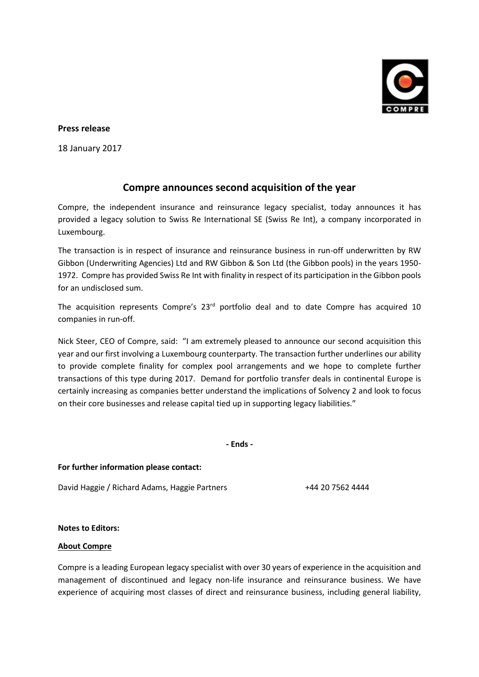

## **Press release**

18 January 2017

## **Compre announces second acquisition of the year**

Compre, the independent insurance and reinsurance legacy specialist, today announces it has provided a legacy solution to Swiss Re International SE (Swiss Re Int), a company incorporated in Luxembourg.

The transaction is in respect of insurance and reinsurance business in run-off underwritten by RW Gibbon (Underwriting Agencies) Ltd and RW Gibbon & Son Ltd (the Gibbon pools) in the years 1950- 1972. Compre has provided Swiss Re Int with finality in respect of its participation in the Gibbon pools for an undisclosed sum.

The acquisition represents Compre's 23<sup>rd</sup> portfolio deal and to date Compre has acquired 10 companies in run-off.

Nick Steer, CEO of Compre, said: "I am extremely pleased to announce our second acquisition this year and our first involving a Luxembourg counterparty. The transaction further underlines our ability to provide complete finality for complex pool arrangements and we hope to complete further transactions of this type during 2017. Demand for portfolio transfer deals in continental Europe is certainly increasing as companies better understand the implications of Solvency 2 and look to focus on their core businesses and release capital tied up in supporting legacy liabilities."

**- Ends -**

**For further information please contact:**

David Haggie / Richard Adams, Haggie Partners +44 20 7562 4444

## **Notes to Editors:**

## **About Compre**

Compre is a leading European legacy specialist with over 30 years of experience in the acquisition and management of discontinued and legacy non-life insurance and reinsurance business. We have experience of acquiring most classes of direct and reinsurance business, including general liability,